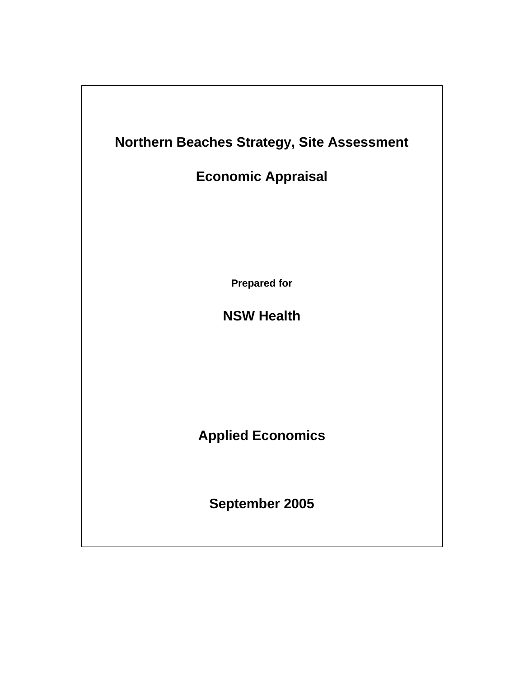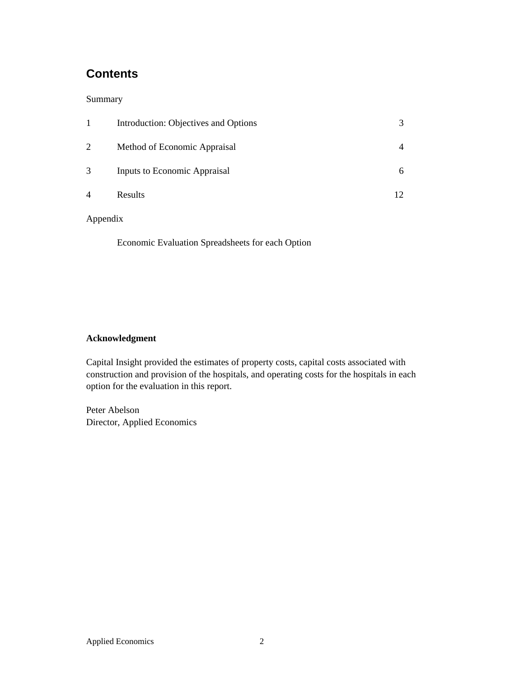# **Contents**

### Summary

|                | Introduction: Objectives and Options |   |
|----------------|--------------------------------------|---|
| 2              | Method of Economic Appraisal         |   |
| 3              | Inputs to Economic Appraisal         | 6 |
| $\overline{4}$ | Results                              |   |

## Appendix

Economic Evaluation Spreadsheets for each Option

## **Acknowledgment**

Capital Insight provided the estimates of property costs, capital costs associated with construction and provision of the hospitals, and operating costs for the hospitals in each option for the evaluation in this report.

Peter Abelson Director, Applied Economics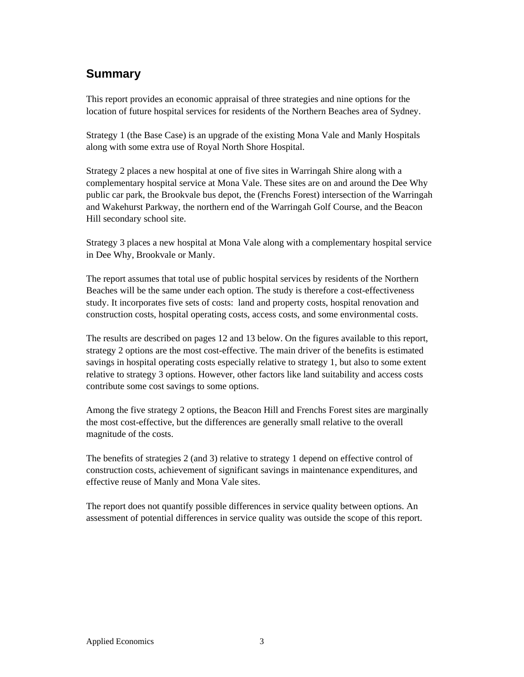# **Summary**

This report provides an economic appraisal of three strategies and nine options for the location of future hospital services for residents of the Northern Beaches area of Sydney.

Strategy 1 (the Base Case) is an upgrade of the existing Mona Vale and Manly Hospitals along with some extra use of Royal North Shore Hospital.

Strategy 2 places a new hospital at one of five sites in Warringah Shire along with a complementary hospital service at Mona Vale. These sites are on and around the Dee Why public car park, the Brookvale bus depot, the (Frenchs Forest) intersection of the Warringah and Wakehurst Parkway, the northern end of the Warringah Golf Course, and the Beacon Hill secondary school site.

Strategy 3 places a new hospital at Mona Vale along with a complementary hospital service in Dee Why, Brookvale or Manly.

The report assumes that total use of public hospital services by residents of the Northern Beaches will be the same under each option. The study is therefore a cost-effectiveness study. It incorporates five sets of costs: land and property costs, hospital renovation and construction costs, hospital operating costs, access costs, and some environmental costs.

The results are described on pages 12 and 13 below. On the figures available to this report, strategy 2 options are the most cost-effective. The main driver of the benefits is estimated savings in hospital operating costs especially relative to strategy 1, but also to some extent relative to strategy 3 options. However, other factors like land suitability and access costs contribute some cost savings to some options.

Among the five strategy 2 options, the Beacon Hill and Frenchs Forest sites are marginally the most cost-effective, but the differences are generally small relative to the overall magnitude of the costs.

The benefits of strategies 2 (and 3) relative to strategy 1 depend on effective control of construction costs, achievement of significant savings in maintenance expenditures, and effective reuse of Manly and Mona Vale sites.

The report does not quantify possible differences in service quality between options. An assessment of potential differences in service quality was outside the scope of this report.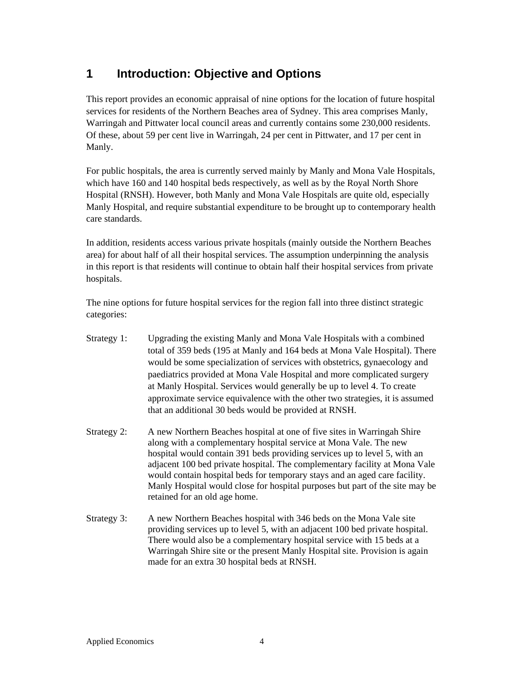# **1 Introduction: Objective and Options**

This report provides an economic appraisal of nine options for the location of future hospital services for residents of the Northern Beaches area of Sydney. This area comprises Manly, Warringah and Pittwater local council areas and currently contains some 230,000 residents. Of these, about 59 per cent live in Warringah, 24 per cent in Pittwater, and 17 per cent in Manly.

For public hospitals, the area is currently served mainly by Manly and Mona Vale Hospitals, which have 160 and 140 hospital beds respectively, as well as by the Royal North Shore Hospital (RNSH). However, both Manly and Mona Vale Hospitals are quite old, especially Manly Hospital, and require substantial expenditure to be brought up to contemporary health care standards.

In addition, residents access various private hospitals (mainly outside the Northern Beaches area) for about half of all their hospital services. The assumption underpinning the analysis in this report is that residents will continue to obtain half their hospital services from private hospitals.

The nine options for future hospital services for the region fall into three distinct strategic categories:

- Strategy 1: Upgrading the existing Manly and Mona Vale Hospitals with a combined total of 359 beds (195 at Manly and 164 beds at Mona Vale Hospital). There would be some specialization of services with obstetrics, gynaecology and paediatrics provided at Mona Vale Hospital and more complicated surgery at Manly Hospital. Services would generally be up to level 4. To create approximate service equivalence with the other two strategies, it is assumed that an additional 30 beds would be provided at RNSH.
- Strategy 2: A new Northern Beaches hospital at one of five sites in Warringah Shire along with a complementary hospital service at Mona Vale. The new hospital would contain 391 beds providing services up to level 5, with an adjacent 100 bed private hospital. The complementary facility at Mona Vale would contain hospital beds for temporary stays and an aged care facility. Manly Hospital would close for hospital purposes but part of the site may be retained for an old age home.
- Strategy 3: A new Northern Beaches hospital with 346 beds on the Mona Vale site providing services up to level 5, with an adjacent 100 bed private hospital. There would also be a complementary hospital service with 15 beds at a Warringah Shire site or the present Manly Hospital site. Provision is again made for an extra 30 hospital beds at RNSH.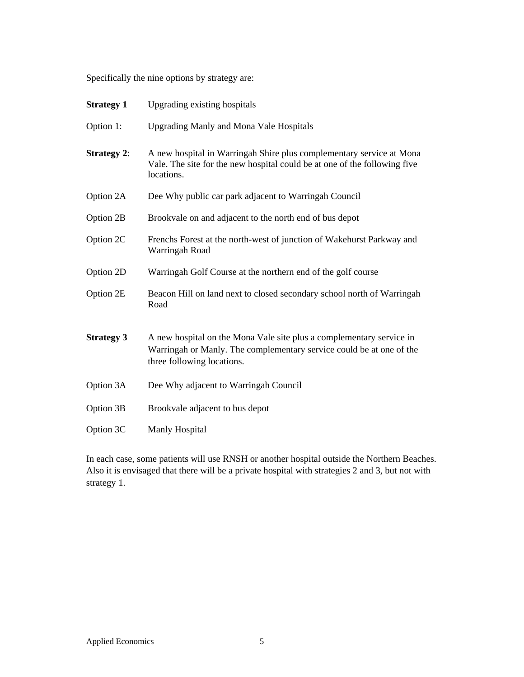Specifically the nine options by strategy are:

| <b>Strategy 1</b>  | Upgrading existing hospitals                                                                                                                                               |
|--------------------|----------------------------------------------------------------------------------------------------------------------------------------------------------------------------|
| Option 1:          | <b>Upgrading Manly and Mona Vale Hospitals</b>                                                                                                                             |
| <b>Strategy 2:</b> | A new hospital in Warringah Shire plus complementary service at Mona<br>Vale. The site for the new hospital could be at one of the following five<br>locations.            |
| Option 2A          | Dee Why public car park adjacent to Warringah Council                                                                                                                      |
| Option 2B          | Brookvale on and adjacent to the north end of bus depot                                                                                                                    |
| Option 2C          | Frenchs Forest at the north-west of junction of Wakehurst Parkway and<br>Warringah Road                                                                                    |
| Option 2D          | Warringah Golf Course at the northern end of the golf course                                                                                                               |
| Option 2E          | Beacon Hill on land next to closed secondary school north of Warringah<br>Road                                                                                             |
| <b>Strategy 3</b>  | A new hospital on the Mona Vale site plus a complementary service in<br>Warringah or Manly. The complementary service could be at one of the<br>three following locations. |
| Option 3A          | Dee Why adjacent to Warringah Council                                                                                                                                      |
| Option 3B          | Brookvale adjacent to bus depot                                                                                                                                            |
| Option 3C          | Manly Hospital                                                                                                                                                             |

In each case, some patients will use RNSH or another hospital outside the Northern Beaches. Also it is envisaged that there will be a private hospital with strategies 2 and 3, but not with strategy 1.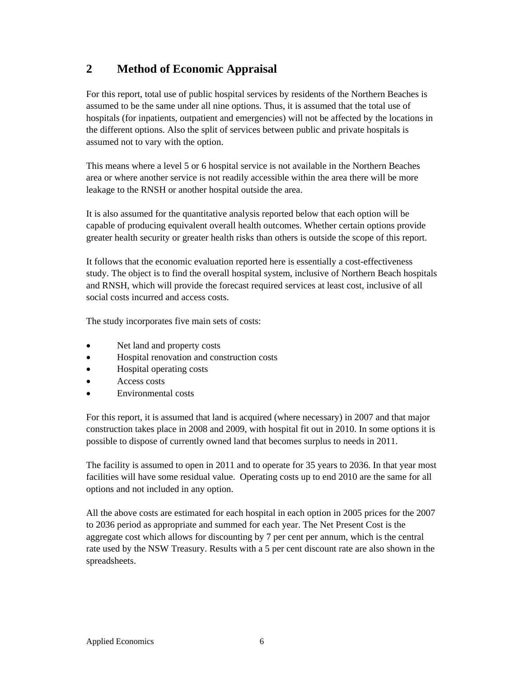# **2 Method of Economic Appraisal**

For this report, total use of public hospital services by residents of the Northern Beaches is assumed to be the same under all nine options. Thus, it is assumed that the total use of hospitals (for inpatients, outpatient and emergencies) will not be affected by the locations in the different options. Also the split of services between public and private hospitals is assumed not to vary with the option.

This means where a level 5 or 6 hospital service is not available in the Northern Beaches area or where another service is not readily accessible within the area there will be more leakage to the RNSH or another hospital outside the area.

It is also assumed for the quantitative analysis reported below that each option will be capable of producing equivalent overall health outcomes. Whether certain options provide greater health security or greater health risks than others is outside the scope of this report.

It follows that the economic evaluation reported here is essentially a cost-effectiveness study. The object is to find the overall hospital system, inclusive of Northern Beach hospitals and RNSH, which will provide the forecast required services at least cost, inclusive of all social costs incurred and access costs.

The study incorporates five main sets of costs:

- Net land and property costs
- Hospital renovation and construction costs
- Hospital operating costs
- Access costs
- Environmental costs

For this report, it is assumed that land is acquired (where necessary) in 2007 and that major construction takes place in 2008 and 2009, with hospital fit out in 2010. In some options it is possible to dispose of currently owned land that becomes surplus to needs in 2011.

The facility is assumed to open in 2011 and to operate for 35 years to 2036. In that year most facilities will have some residual value. Operating costs up to end 2010 are the same for all options and not included in any option.

All the above costs are estimated for each hospital in each option in 2005 prices for the 2007 to 2036 period as appropriate and summed for each year. The Net Present Cost is the aggregate cost which allows for discounting by 7 per cent per annum, which is the central rate used by the NSW Treasury. Results with a 5 per cent discount rate are also shown in the spreadsheets.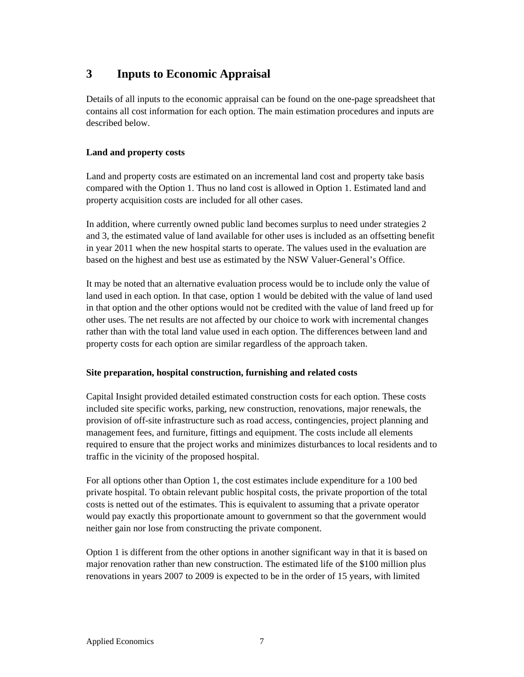# **3 Inputs to Economic Appraisal**

Details of all inputs to the economic appraisal can be found on the one-page spreadsheet that contains all cost information for each option. The main estimation procedures and inputs are described below.

### **Land and property costs**

Land and property costs are estimated on an incremental land cost and property take basis compared with the Option 1. Thus no land cost is allowed in Option 1. Estimated land and property acquisition costs are included for all other cases.

In addition, where currently owned public land becomes surplus to need under strategies 2 and 3, the estimated value of land available for other uses is included as an offsetting benefit in year 2011 when the new hospital starts to operate. The values used in the evaluation are based on the highest and best use as estimated by the NSW Valuer-General's Office.

It may be noted that an alternative evaluation process would be to include only the value of land used in each option. In that case, option 1 would be debited with the value of land used in that option and the other options would not be credited with the value of land freed up for other uses. The net results are not affected by our choice to work with incremental changes rather than with the total land value used in each option. The differences between land and property costs for each option are similar regardless of the approach taken.

### **Site preparation, hospital construction, furnishing and related costs**

Capital Insight provided detailed estimated construction costs for each option. These costs included site specific works, parking, new construction, renovations, major renewals, the provision of off-site infrastructure such as road access, contingencies, project planning and management fees, and furniture, fittings and equipment. The costs include all elements required to ensure that the project works and minimizes disturbances to local residents and to traffic in the vicinity of the proposed hospital.

For all options other than Option 1, the cost estimates include expenditure for a 100 bed private hospital. To obtain relevant public hospital costs, the private proportion of the total costs is netted out of the estimates. This is equivalent to assuming that a private operator would pay exactly this proportionate amount to government so that the government would neither gain nor lose from constructing the private component.

Option 1 is different from the other options in another significant way in that it is based on major renovation rather than new construction. The estimated life of the \$100 million plus renovations in years 2007 to 2009 is expected to be in the order of 15 years, with limited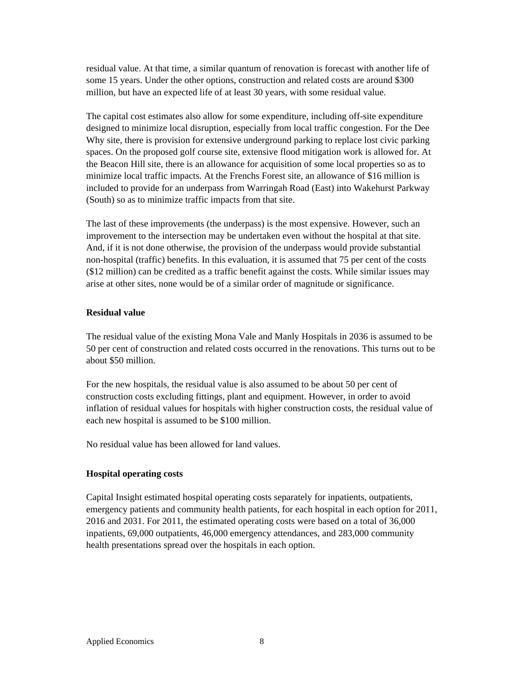residual value. At that time, a similar quantum of renovation is forecast with another life of some 15 years. Under the other options, construction and related costs are around \$300 million, but have an expected life of at least 30 years, with some residual value.

The capital cost estimates also allow for some expenditure, including off-site expenditure designed to minimize local disruption, especially from local traffic congestion. For the Dee Why site, there is provision for extensive underground parking to replace lost civic parking spaces. On the proposed golf course site, extensive flood mitigation work is allowed for. At the Beacon Hill site, there is an allowance for acquisition of some local properties so as to minimize local traffic impacts. At the Frenchs Forest site, an allowance of \$16 million is included to provide for an underpass from Warringah Road (East) into Wakehurst Parkway (South) so as to minimize traffic impacts from that site.

The last of these improvements (the underpass) is the most expensive. However, such an improvement to the intersection may be undertaken even without the hospital at that site. And, if it is not done otherwise, the provision of the underpass would provide substantial non-hospital (traffic) benefits. In this evaluation, it is assumed that 75 per cent of the costs (\$12 million) can be credited as a traffic benefit against the costs. While similar issues may arise at other sites, none would be of a similar order of magnitude or significance.

#### **Residual value**

The residual value of the existing Mona Vale and Manly Hospitals in 2036 is assumed to be 50 per cent of construction and related costs occurred in the renovations. This turns out to be about \$50 million.

For the new hospitals, the residual value is also assumed to be about 50 per cent of construction costs excluding fittings, plant and equipment. However, in order to avoid inflation of residual values for hospitals with higher construction costs, the residual value of each new hospital is assumed to be \$100 million.

No residual value has been allowed for land values.

#### **Hospital operating costs**

Capital Insight estimated hospital operating costs separately for inpatients, outpatients, emergency patients and community health patients, for each hospital in each option for 2011, 2016 and 2031. For 2011, the estimated operating costs were based on a total of 36,000 inpatients, 69,000 outpatients, 46,000 emergency attendances, and 283,000 community health presentations spread over the hospitals in each option.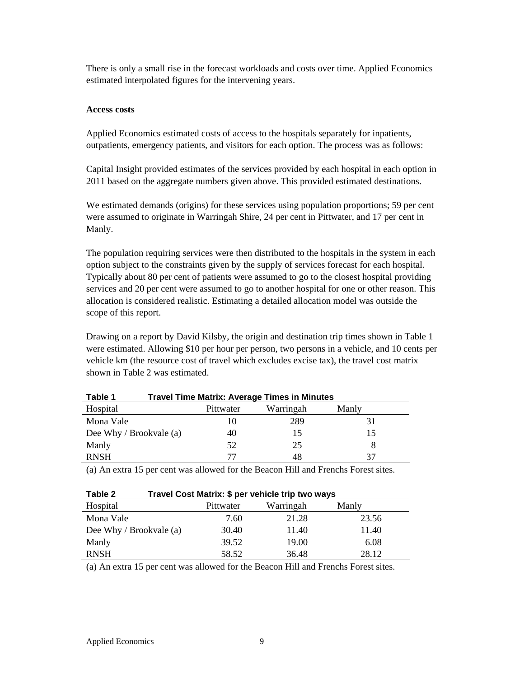There is only a small rise in the forecast workloads and costs over time. Applied Economics estimated interpolated figures for the intervening years.

#### **Access costs**

Applied Economics estimated costs of access to the hospitals separately for inpatients, outpatients, emergency patients, and visitors for each option. The process was as follows:

Capital Insight provided estimates of the services provided by each hospital in each option in 2011 based on the aggregate numbers given above. This provided estimated destinations.

We estimated demands (origins) for these services using population proportions; 59 per cent were assumed to originate in Warringah Shire, 24 per cent in Pittwater, and 17 per cent in Manly.

The population requiring services were then distributed to the hospitals in the system in each option subject to the constraints given by the supply of services forecast for each hospital. Typically about 80 per cent of patients were assumed to go to the closest hospital providing services and 20 per cent were assumed to go to another hospital for one or other reason. This allocation is considered realistic. Estimating a detailed allocation model was outside the scope of this report.

Drawing on a report by David Kilsby, the origin and destination trip times shown in Table 1 were estimated. Allowing \$10 per hour per person, two persons in a vehicle, and 10 cents per vehicle km (the resource cost of travel which excludes excise tax), the travel cost matrix shown in Table 2 was estimated.

| Table 1                 |           | <b>Travel Time Matrix: Average Times in Minutes</b> |       |
|-------------------------|-----------|-----------------------------------------------------|-------|
| Hospital                | Pittwater | Warringah                                           | Manly |
| Mona Vale               | 10        | 289                                                 | 31    |
| Dee Why / Brookvale (a) | 40        | 15                                                  | 15    |
| Manly                   | 52        | 25                                                  | 8     |
| <b>RNSH</b>             | 77        | 48                                                  |       |

(a) An extra 15 per cent was allowed for the Beacon Hill and Frenchs Forest sites.

| Travel Cost Matrix: \$ per vehicle trip two ways<br>Table 2 |           |           |       |  |
|-------------------------------------------------------------|-----------|-----------|-------|--|
| Hospital                                                    | Pittwater | Warringah | Manly |  |
| Mona Vale                                                   | 7.60      | 21.28     | 23.56 |  |
| Dee Why / Brookvale (a)                                     | 30.40     | 11.40     | 11.40 |  |
| Manly                                                       | 39.52     | 19.00     | 6.08  |  |
| <b>RNSH</b>                                                 | 58.52     | 36.48     | 28.12 |  |

(a) An extra 15 per cent was allowed for the Beacon Hill and Frenchs Forest sites.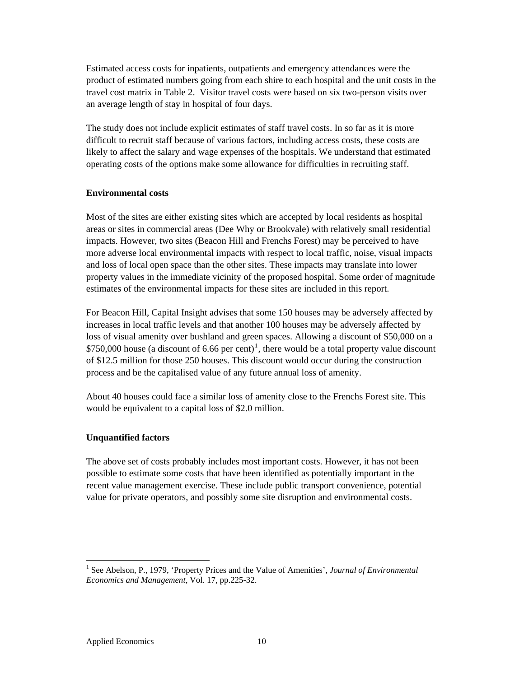Estimated access costs for inpatients, outpatients and emergency attendances were the product of estimated numbers going from each shire to each hospital and the unit costs in the travel cost matrix in Table 2. Visitor travel costs were based on six two-person visits over an average length of stay in hospital of four days.

The study does not include explicit estimates of staff travel costs. In so far as it is more difficult to recruit staff because of various factors, including access costs, these costs are likely to affect the salary and wage expenses of the hospitals. We understand that estimated operating costs of the options make some allowance for difficulties in recruiting staff.

#### **Environmental costs**

Most of the sites are either existing sites which are accepted by local residents as hospital areas or sites in commercial areas (Dee Why or Brookvale) with relatively small residential impacts. However, two sites (Beacon Hill and Frenchs Forest) may be perceived to have more adverse local environmental impacts with respect to local traffic, noise, visual impacts and loss of local open space than the other sites. These impacts may translate into lower property values in the immediate vicinity of the proposed hospital. Some order of magnitude estimates of the environmental impacts for these sites are included in this report.

For Beacon Hill, Capital Insight advises that some 150 houses may be adversely affected by increases in local traffic levels and that another 100 houses may be adversely affected by loss of visual amenity over bushland and green spaces. Allowing a discount of \$50,000 on a  $$750,000$  house (a discount of 6.66 per cent)<sup>[1](#page-9-0)</sup>, there would be a total property value discount of \$12.5 million for those 250 houses. This discount would occur during the construction process and be the capitalised value of any future annual loss of amenity.

About 40 houses could face a similar loss of amenity close to the Frenchs Forest site. This would be equivalent to a capital loss of \$2.0 million.

#### **Unquantified factors**

The above set of costs probably includes most important costs. However, it has not been possible to estimate some costs that have been identified as potentially important in the recent value management exercise. These include public transport convenience, potential value for private operators, and possibly some site disruption and environmental costs.

 $\overline{a}$ 

<span id="page-9-0"></span><sup>&</sup>lt;sup>1</sup> See Abelson, P., 1979, 'Property Prices and the Value of Amenities', *Journal of Environmental Economics and Management*, Vol. 17, pp.225-32.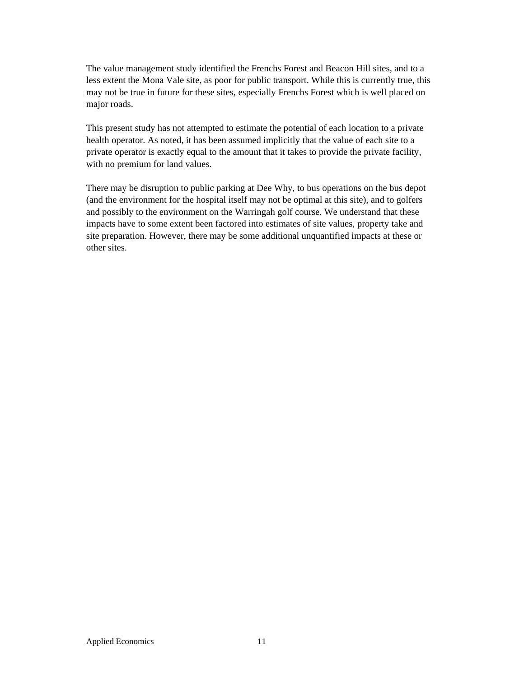The value management study identified the Frenchs Forest and Beacon Hill sites, and to a less extent the Mona Vale site, as poor for public transport. While this is currently true, this may not be true in future for these sites, especially Frenchs Forest which is well placed on major roads.

This present study has not attempted to estimate the potential of each location to a private health operator. As noted, it has been assumed implicitly that the value of each site to a private operator is exactly equal to the amount that it takes to provide the private facility, with no premium for land values.

There may be disruption to public parking at Dee Why, to bus operations on the bus depot (and the environment for the hospital itself may not be optimal at this site), and to golfers and possibly to the environment on the Warringah golf course. We understand that these impacts have to some extent been factored into estimates of site values, property take and site preparation. However, there may be some additional unquantified impacts at these or other sites.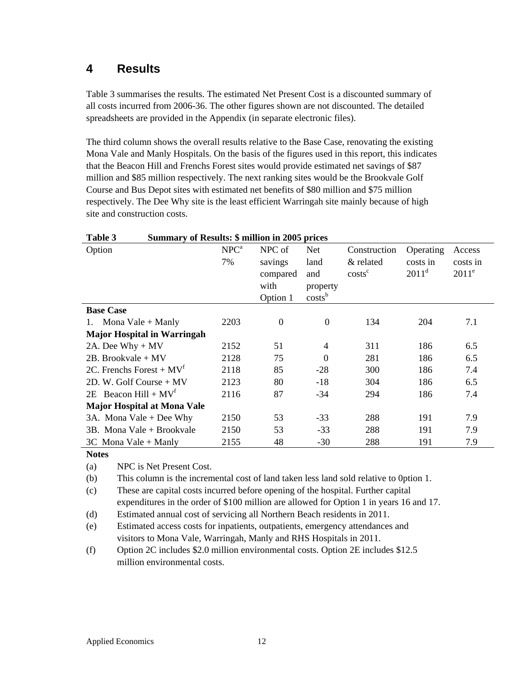## **4 Results**

Table 3 summarises the results. The estimated Net Present Cost is a discounted summary of all costs incurred from 2006-36. The other figures shown are not discounted. The detailed spreadsheets are provided in the Appendix (in separate electronic files).

The third column shows the overall results relative to the Base Case, renovating the existing Mona Vale and Manly Hospitals. On the basis of the figures used in this report, this indicates that the Beacon Hill and Frenchs Forest sites would provide estimated net savings of \$87 million and \$85 million respectively. The next ranking sites would be the Brookvale Golf Course and Bus Depot sites with estimated net benefits of \$80 million and \$75 million respectively. The Dee Why site is the least efficient Warringah site mainly because of high site and construction costs.

| <b>Summary of Results: \$ million in 2005 prices</b><br>Table 3 |  |                  |                |                    |              |           |          |
|-----------------------------------------------------------------|--|------------------|----------------|--------------------|--------------|-----------|----------|
| Option                                                          |  | NPC <sup>a</sup> | NPC of         | <b>Net</b>         | Construction | Operating | Access   |
|                                                                 |  | 7%               | savings        | land               | & related    | costs in  | costs in |
|                                                                 |  |                  | compared       | and                | $costs^c$    | $2011^d$  | $2011^e$ |
|                                                                 |  |                  | with           | property           |              |           |          |
|                                                                 |  |                  | Option 1       | costs <sup>b</sup> |              |           |          |
| <b>Base Case</b>                                                |  |                  |                |                    |              |           |          |
| 1. Mona Vale $+$ Manly                                          |  | 2203             | $\overline{0}$ | $\overline{0}$     | 134          | 204       | 7.1      |
| <b>Major Hospital in Warringah</b>                              |  |                  |                |                    |              |           |          |
| 2A. Dee Why $+$ MV                                              |  | 2152             | 51             | 4                  | 311          | 186       | 6.5      |
| $2B.$ Brookvale + MV                                            |  | 2128             | 75             | $\theta$           | 281          | 186       | 6.5      |
| 2C. Frenchs Forest + $MVT$                                      |  | 2118             | 85             | $-28$              | 300          | 186       | 7.4      |
| 2D. W. Golf Course $+$ MV                                       |  | 2123             | 80             | $-18$              | 304          | 186       | 6.5      |
| 2E Beacon Hill + $MVf$                                          |  | 2116             | 87             | $-34$              | 294          | 186       | 7.4      |
| <b>Major Hospital at Mona Vale</b>                              |  |                  |                |                    |              |           |          |
| 3A. Mona Vale $+$ Dee Why                                       |  | 2150             | 53             | $-33$              | 288          | 191       | 7.9      |
| 3B. Mona Vale + Brookvale                                       |  | 2150             | 53             | $-33$              | 288          | 191       | 7.9      |
| 3C Mona Vale + Manly                                            |  | 2155             | 48             | $-30$              | 288          | 191       | 7.9      |

# **Notes**

(a) NPC is Net Present Cost.

(b) This column is the incremental cost of land taken less land sold relative to 0ption 1.

(c) These are capital costs incurred before opening of the hospital. Further capital expenditures in the order of \$100 million are allowed for Option 1 in years 16 and 17.

(d) Estimated annual cost of servicing all Northern Beach residents in 2011.

- (e) Estimated access costs for inpatients, outpatients, emergency attendances and visitors to Mona Vale, Warringah, Manly and RHS Hospitals in 2011.
- (f) Option 2C includes \$2.0 million environmental costs. Option 2E includes \$12.5 million environmental costs.